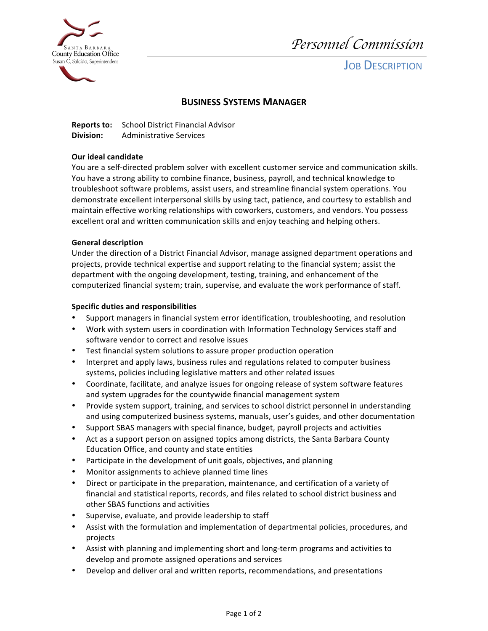

*Personnel Commission* 

**JOB DESCRIPTION** 

# **BUSINESS SYSTEMS MANAGER**

**BUSINESS SYSTEMS**<br>**Reports to:** School District Financial Advisor **Division:** Administrative Services

## **Our ideal candidate**

You are a self-directed problem solver with excellent customer service and communication skills. You have a strong ability to combine finance, business, payroll, and technical knowledge to troubleshoot software problems, assist users, and streamline financial system operations. You demonstrate excellent interpersonal skills by using tact, patience, and courtesy to establish and maintain effective working relationships with coworkers, customers, and vendors. You possess excellent oral and written communication skills and enjoy teaching and helping others.

## **General description**

Under the direction of a District Financial Advisor, manage assigned department operations and projects, provide technical expertise and support relating to the financial system; assist the department with the ongoing development, testing, training, and enhancement of the computerized financial system; train, supervise, and evaluate the work performance of staff.

## **Specific duties and responsibilities**

- Support managers in financial system error identification, troubleshooting, and resolution
- Work with system users in coordination with Information Technology Services staff and software vendor to correct and resolve issues
- Test financial system solutions to assure proper production operation
- Interpret and apply laws, business rules and regulations related to computer business systems, policies including legislative matters and other related issues
- Coordinate, facilitate, and analyze issues for ongoing release of system software features and system upgrades for the countywide financial management system
- Provide system support, training, and services to school district personnel in understanding and using computerized business systems, manuals, user's guides, and other documentation
- Support SBAS managers with special finance, budget, payroll projects and activities
- Act as a support person on assigned topics among districts, the Santa Barbara County Education Office, and county and state entities
- Participate in the development of unit goals, objectives, and planning
- Monitor assignments to achieve planned time lines
- • Direct or participate in the preparation, maintenance, and certification of a variety of financial and statistical reports, records, and files related to school district business and other SBAS functions and activities
- Supervise, evaluate, and provide leadership to staff
- Assist with the formulation and implementation of departmental policies, procedures, and projects
- Assist with planning and implementing short and long-term programs and activities to develop and promote assigned operations and services
- Develop and deliver oral and written reports, recommendations, and presentations